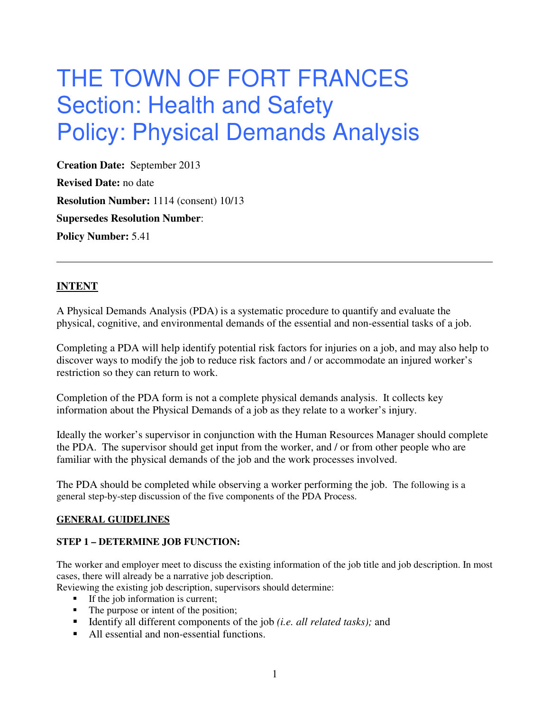# THE TOWN OF FORT FRANCES Section: Health and Safety Policy: Physical Demands Analysis

**Creation Date:** September 2013 **Revised Date:** no date **Resolution Number:** 1114 (consent) 10/13 **Supersedes Resolution Number**: **Policy Number:** 5.41

## **INTENT**

A Physical Demands Analysis (PDA) is a systematic procedure to quantify and evaluate the physical, cognitive, and environmental demands of the essential and non-essential tasks of a job.

Completing a PDA will help identify potential risk factors for injuries on a job, and may also help to discover ways to modify the job to reduce risk factors and / or accommodate an injured worker's restriction so they can return to work.

Completion of the PDA form is not a complete physical demands analysis. It collects key information about the Physical Demands of a job as they relate to a worker's injury.

Ideally the worker's supervisor in conjunction with the Human Resources Manager should complete the PDA. The supervisor should get input from the worker, and / or from other people who are familiar with the physical demands of the job and the work processes involved.

The PDA should be completed while observing a worker performing the job. The following is a general step-by-step discussion of the five components of the PDA Process.

#### **GENERAL GUIDELINES**

## **STEP 1 – DETERMINE JOB FUNCTION:**

The worker and employer meet to discuss the existing information of the job title and job description. In most cases, there will already be a narrative job description.

Reviewing the existing job description, supervisors should determine:

- If the job information is current;
- The purpose or intent of the position;
- Identify all different components of the job *(i.e. all related tasks)*; and
- All essential and non-essential functions.